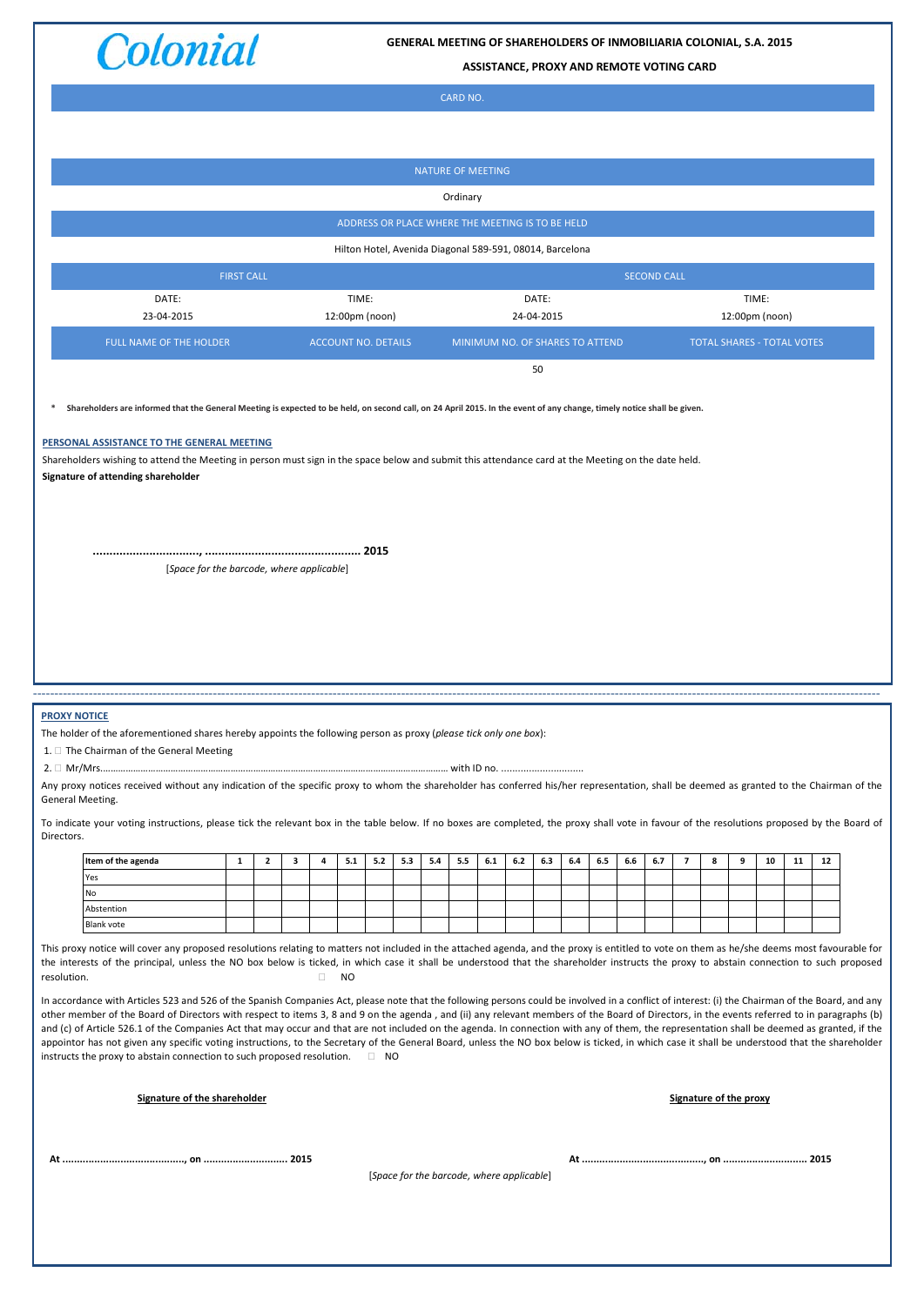

**GENERAL MEETING OF SHAREHOLDERS OF INMOBILIARIA COLONIAL, S.A. 2015**

**ASSISTANCE, PROXY AND REMOTE VOTING CARD**

|                                                                                                                                                                                                                                                                                                                                                                                                                                                                                                                                                                                                                                                                                                                                                                                                                                                                                                                                                                                                                                                                                                                                                                                                                                                                                                                                                                                        | <b>NATURE OF MEETING</b>                                                                                                                                                                                                                                                                                                                                                                                                                                      |                   |                         |   |   |       |                            |     |                                           |     |                                 |     |            |       |         |         |                    |                |   |   |                                   |    |    |  |  |
|----------------------------------------------------------------------------------------------------------------------------------------------------------------------------------------------------------------------------------------------------------------------------------------------------------------------------------------------------------------------------------------------------------------------------------------------------------------------------------------------------------------------------------------------------------------------------------------------------------------------------------------------------------------------------------------------------------------------------------------------------------------------------------------------------------------------------------------------------------------------------------------------------------------------------------------------------------------------------------------------------------------------------------------------------------------------------------------------------------------------------------------------------------------------------------------------------------------------------------------------------------------------------------------------------------------------------------------------------------------------------------------|---------------------------------------------------------------------------------------------------------------------------------------------------------------------------------------------------------------------------------------------------------------------------------------------------------------------------------------------------------------------------------------------------------------------------------------------------------------|-------------------|-------------------------|---|---|-------|----------------------------|-----|-------------------------------------------|-----|---------------------------------|-----|------------|-------|---------|---------|--------------------|----------------|---|---|-----------------------------------|----|----|--|--|
|                                                                                                                                                                                                                                                                                                                                                                                                                                                                                                                                                                                                                                                                                                                                                                                                                                                                                                                                                                                                                                                                                                                                                                                                                                                                                                                                                                                        | Ordinary                                                                                                                                                                                                                                                                                                                                                                                                                                                      |                   |                         |   |   |       |                            |     |                                           |     |                                 |     |            |       |         |         |                    |                |   |   |                                   |    |    |  |  |
|                                                                                                                                                                                                                                                                                                                                                                                                                                                                                                                                                                                                                                                                                                                                                                                                                                                                                                                                                                                                                                                                                                                                                                                                                                                                                                                                                                                        | ADDRESS OR PLACE WHERE THE MEETING IS TO BE HELD                                                                                                                                                                                                                                                                                                                                                                                                              |                   |                         |   |   |       |                            |     |                                           |     |                                 |     |            |       |         |         |                    |                |   |   |                                   |    |    |  |  |
|                                                                                                                                                                                                                                                                                                                                                                                                                                                                                                                                                                                                                                                                                                                                                                                                                                                                                                                                                                                                                                                                                                                                                                                                                                                                                                                                                                                        | Hilton Hotel, Avenida Diagonal 589-591, 08014, Barcelona                                                                                                                                                                                                                                                                                                                                                                                                      |                   |                         |   |   |       |                            |     |                                           |     |                                 |     |            |       |         |         |                    |                |   |   |                                   |    |    |  |  |
|                                                                                                                                                                                                                                                                                                                                                                                                                                                                                                                                                                                                                                                                                                                                                                                                                                                                                                                                                                                                                                                                                                                                                                                                                                                                                                                                                                                        |                                                                                                                                                                                                                                                                                                                                                                                                                                                               | <b>FIRST CALL</b> |                         |   |   |       |                            |     |                                           |     |                                 |     |            |       |         |         | <b>SECOND CALL</b> |                |   |   |                                   |    |    |  |  |
|                                                                                                                                                                                                                                                                                                                                                                                                                                                                                                                                                                                                                                                                                                                                                                                                                                                                                                                                                                                                                                                                                                                                                                                                                                                                                                                                                                                        | DATE:                                                                                                                                                                                                                                                                                                                                                                                                                                                         |                   |                         |   |   | TIME: |                            |     |                                           |     |                                 |     | DATE:      |       |         |         |                    |                |   |   | TIME:                             |    |    |  |  |
|                                                                                                                                                                                                                                                                                                                                                                                                                                                                                                                                                                                                                                                                                                                                                                                                                                                                                                                                                                                                                                                                                                                                                                                                                                                                                                                                                                                        | 23-04-2015                                                                                                                                                                                                                                                                                                                                                                                                                                                    |                   |                         |   |   |       | 12:00pm (noon)             |     |                                           |     |                                 |     | 24-04-2015 |       |         |         |                    |                |   |   | 12:00pm (noon)                    |    |    |  |  |
|                                                                                                                                                                                                                                                                                                                                                                                                                                                                                                                                                                                                                                                                                                                                                                                                                                                                                                                                                                                                                                                                                                                                                                                                                                                                                                                                                                                        | FULL NAME OF THE HOLDER                                                                                                                                                                                                                                                                                                                                                                                                                                       |                   |                         |   |   |       | <b>ACCOUNT NO. DETAILS</b> |     |                                           |     | MINIMUM NO. OF SHARES TO ATTEND |     | 50         |       |         |         |                    |                |   |   | <b>TOTAL SHARES - TOTAL VOTES</b> |    |    |  |  |
|                                                                                                                                                                                                                                                                                                                                                                                                                                                                                                                                                                                                                                                                                                                                                                                                                                                                                                                                                                                                                                                                                                                                                                                                                                                                                                                                                                                        | Shareholders are informed that the General Meeting is expected to be held, on second call, on 24 April 2015. In the event of any change, timely notice shall be given.<br>PERSONAL ASSISTANCE TO THE GENERAL MEETING<br>Shareholders wishing to attend the Meeting in person must sign in the space below and submit this attendance card at the Meeting on the date held.<br>Signature of attending shareholder<br>[Space for the barcode, where applicable] |                   |                         |   |   |       |                            |     |                                           |     |                                 |     |            |       |         |         |                    |                |   |   |                                   |    |    |  |  |
| <b>PROXY NOTICE</b><br>General Meeting.                                                                                                                                                                                                                                                                                                                                                                                                                                                                                                                                                                                                                                                                                                                                                                                                                                                                                                                                                                                                                                                                                                                                                                                                                                                                                                                                                | The holder of the aforementioned shares hereby appoints the following person as proxy (please tick only one box):<br>1. The Chairman of the General Meeting<br>Any proxy notices received without any indication of the specific proxy to whom the shareholder has conferred his/her representation, shall be deemed as granted to the Chairman of the                                                                                                        |                   |                         |   |   |       |                            |     |                                           |     |                                 |     |            |       |         |         |                    |                |   |   |                                   |    |    |  |  |
| Directors.                                                                                                                                                                                                                                                                                                                                                                                                                                                                                                                                                                                                                                                                                                                                                                                                                                                                                                                                                                                                                                                                                                                                                                                                                                                                                                                                                                             | To indicate your voting instructions, please tick the relevant box in the table below. If no boxes are completed, the proxy shall vote in favour of the resolutions proposed by the Board of                                                                                                                                                                                                                                                                  |                   |                         |   |   |       |                            |     |                                           |     |                                 |     |            |       |         |         |                    |                |   |   |                                   |    |    |  |  |
|                                                                                                                                                                                                                                                                                                                                                                                                                                                                                                                                                                                                                                                                                                                                                                                                                                                                                                                                                                                                                                                                                                                                                                                                                                                                                                                                                                                        | Item of the agenda                                                                                                                                                                                                                                                                                                                                                                                                                                            | $\mathbf{1}$      | $\overline{\mathbf{2}}$ | 3 | 4 | 5.1   | 5.2                        | 5.3 | 5.4                                       | 5.5 | 6.1                             | 6.2 | 6.3        | $6.4$ | $6.5\,$ | $6.6\,$ | 6.7                | $\overline{7}$ | 8 | 9 | 10                                | 11 | 12 |  |  |
|                                                                                                                                                                                                                                                                                                                                                                                                                                                                                                                                                                                                                                                                                                                                                                                                                                                                                                                                                                                                                                                                                                                                                                                                                                                                                                                                                                                        | Yes<br>No                                                                                                                                                                                                                                                                                                                                                                                                                                                     |                   |                         |   |   |       |                            |     |                                           |     |                                 |     |            |       |         |         |                    |                |   |   |                                   |    |    |  |  |
|                                                                                                                                                                                                                                                                                                                                                                                                                                                                                                                                                                                                                                                                                                                                                                                                                                                                                                                                                                                                                                                                                                                                                                                                                                                                                                                                                                                        | Abstention<br>Blank vote                                                                                                                                                                                                                                                                                                                                                                                                                                      |                   |                         |   |   |       |                            |     |                                           |     |                                 |     |            |       |         |         |                    |                |   |   |                                   |    |    |  |  |
| This proxy notice will cover any proposed resolutions relating to matters not included in the attached agenda, and the proxy is entitled to vote on them as he/she deems most favourable for<br>the interests of the principal, unless the NO box below is ticked, in which case it shall be understood that the shareholder instructs the proxy to abstain connection to such proposed<br>resolution.<br>$\Box$<br>N <sub>O</sub><br>In accordance with Articles 523 and 526 of the Spanish Companies Act, please note that the following persons could be involved in a conflict of interest: (i) the Chairman of the Board, and any<br>other member of the Board of Directors with respect to items 3, 8 and 9 on the agenda, and (ii) any relevant members of the Board of Directors, in the events referred to in paragraphs (b)<br>and (c) of Article 526.1 of the Companies Act that may occur and that are not included on the agenda. In connection with any of them, the representation shall be deemed as granted, if the<br>appointor has not given any specific voting instructions, to the Secretary of the General Board, unless the NO box below is ticked, in which case it shall be understood that the shareholder<br>instructs the proxy to abstain connection to such proposed resolution. $\square$ NO<br>Signature of the shareholder<br>Signature of the proxy |                                                                                                                                                                                                                                                                                                                                                                                                                                                               |                   |                         |   |   |       |                            |     |                                           |     |                                 |     |            |       |         |         |                    |                |   |   |                                   |    |    |  |  |
|                                                                                                                                                                                                                                                                                                                                                                                                                                                                                                                                                                                                                                                                                                                                                                                                                                                                                                                                                                                                                                                                                                                                                                                                                                                                                                                                                                                        |                                                                                                                                                                                                                                                                                                                                                                                                                                                               |                   |                         |   |   |       |                            |     | [Space for the barcode, where applicable] |     |                                 |     |            |       |         |         |                    |                |   |   |                                   |    |    |  |  |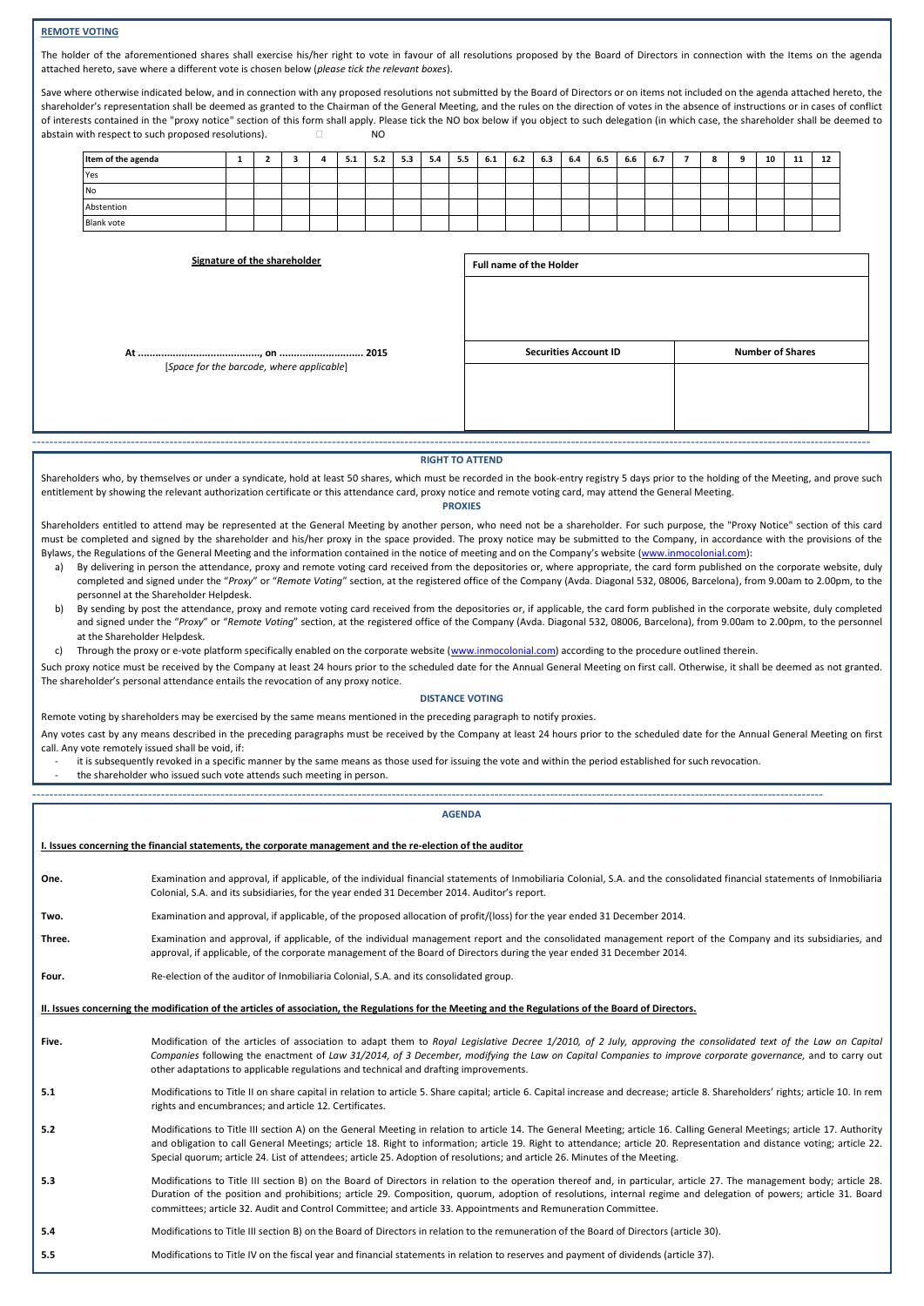# **REMOTE VOTING**

The holder of the aforementioned shares shall exercise his/her right to vote in favour of all resolutions proposed by the Board of Directors in connection with the Items on the agenda attached hereto, save where a different vote is chosen below (*please tick the relevant boxes*).

Save where otherwise indicated below, and in connection with any proposed resolutions not submitted by the Board of Directors or on items not included on the agenda attached hereto, the shareholder's representation shall be deemed as granted to the Chairman of the General Meeting, and the rules on the direction of votes in the absence of instructions or in cases of conflict of interests contained in the "proxy notice" section of this form shall apply. Please tick the NO box below if you object to such delegation (in which case, the shareholder shall be deemed to abstain with respect to such proposed resolutions).  $\Box$ 

| Item of the agenda |  |  | ъ.<br>- 3.1 | 5.2 | 5.3 | 5.4 | - -<br>5.5 | 6.1 | 6.2 | 6.3 | 6.4 | 6.5 | 6.6 | 6.7 |  | 10 | <br>12 |
|--------------------|--|--|-------------|-----|-----|-----|------------|-----|-----|-----|-----|-----|-----|-----|--|----|--------|
| Yes                |  |  |             |     |     |     |            |     |     |     |     |     |     |     |  |    |        |
| <b>No</b>          |  |  |             |     |     |     |            |     |     |     |     |     |     |     |  |    |        |
| Abstention         |  |  |             |     |     |     |            |     |     |     |     |     |     |     |  |    |        |
| <b>Blank vote</b>  |  |  |             |     |     |     |            |     |     |     |     |     |     |     |  |    |        |

| <b>Number of Shares</b><br><b>Securities Account ID</b><br>[Space for the barcode, where applicable] | Signature of the shareholder | <b>Full name of the Holder</b> |  |
|------------------------------------------------------------------------------------------------------|------------------------------|--------------------------------|--|
|                                                                                                      |                              |                                |  |

### **RIGHT TO ATTEND**

Shareholders who, by themselves or under a syndicate, hold at least 50 shares, which must be recorded in the book-entry registry 5 days prior to the holding of the Meeting, and prove such entitlement by showing the relevant authorization certificate or this attendance card, proxy notice and remote voting card, may attend the General Meeting.

## **PROXIES**

- Shareholders entitled to attend may be represented at the General Meeting by another person, who need not be a shareholder. For such purpose, the "Proxy Notice" section of this card must be completed and signed by the shareholder and his/her proxy in the space provided. The proxy notice may be submitted to the Company, in accordance with the provisions of the Bylaws, the Regulations of the General Meeting and the information contained in the notice of meeting and on the Company's website [\(www.inmocolonial.com\)](http://www.inmocolonial.com/):
	- a) By delivering in person the attendance, proxy and remote voting card received from the depositories or, where appropriate, the card form published on the corporate website, duly completed and signed under the "*Proxy*" or "*Remote Voting*" section, at the registered office of the Company (Avda. Diagonal 532, 08006, Barcelona), from 9.00am to 2.00pm, to the personnel at the Shareholder Helpdesk.
	- b) By sending by post the attendance, proxy and remote voting card received from the depositories or, if applicable, the card form published in the corporate website, duly completed and signed under the "*Proxy*" or "*Remote Voting*" section, at the registered office of the Company (Avda. Diagonal 532, 08006, Barcelona), from 9.00am to 2.00pm, to the personnel at the Shareholder Helpdesk.
	- c) Through the proxy or e-vote platform specifically enabled on the corporate website [\(www.inmocolonial.com\)](http://www.inmocolonial.com/) according to the procedure outlined therein.

Such proxy notice must be received by the Company at least 24 hours prior to the scheduled date for the Annual General Meeting on first call. Otherwise, it shall be deemed as not granted. The shareholder's personal attendance entails the revocation of any proxy notice.

#### **DISTANCE VOTING**

Remote voting by shareholders may be exercised by the same means mentioned in the preceding paragraph to notify proxies.

Any votes cast by any means described in the preceding paragraphs must be received by the Company at least 24 hours prior to the scheduled date for the Annual General Meeting on first call. Any vote remotely issued shall be void, if:

it is subsequently revoked in a specific manner by the same means as those used for issuing the vote and within the period established for such revocation.

the shareholder who issued such vote attends such meeting in person.

### -----------------------------------------------------------------------------------------------------------------------------------------------------------------------------------------

# **AGENDA**

|        | I. Issues concerning the financial statements, the corporate management and the re-election of the auditor                                                                                                                                                                                                                                                                                                                                                                         |
|--------|------------------------------------------------------------------------------------------------------------------------------------------------------------------------------------------------------------------------------------------------------------------------------------------------------------------------------------------------------------------------------------------------------------------------------------------------------------------------------------|
| One.   | Examination and approval, if applicable, of the individual financial statements of Inmobiliaria Colonial, S.A. and the consolidated financial statements of Inmobiliaria<br>Colonial, S.A. and its subsidiaries, for the year ended 31 December 2014. Auditor's report.                                                                                                                                                                                                            |
| Two.   | Examination and approval, if applicable, of the proposed allocation of profit/(loss) for the year ended 31 December 2014.                                                                                                                                                                                                                                                                                                                                                          |
| Three. | Examination and approval, if applicable, of the individual management report and the consolidated management report of the Company and its subsidiaries, and<br>approval, if applicable, of the corporate management of the Board of Directors during the year ended 31 December 2014.                                                                                                                                                                                             |
| Four.  | Re-election of the auditor of Inmobiliaria Colonial, S.A. and its consolidated group.                                                                                                                                                                                                                                                                                                                                                                                              |
|        | II. Issues concerning the modification of the articles of association, the Regulations for the Meeting and the Regulations of the Board of Directors.                                                                                                                                                                                                                                                                                                                              |
| Five.  | Modification of the articles of association to adapt them to Royal Legislative Decree 1/2010, of 2 July, approving the consolidated text of the Law on Capital<br>Companies following the enactment of Law 31/2014, of 3 December, modifying the Law on Capital Companies to improve corporate governance, and to carry out<br>other adaptations to applicable regulations and technical and drafting improvements.                                                                |
| 5.1    | Modifications to Title II on share capital in relation to article 5. Share capital; article 6. Capital increase and decrease; article 8. Shareholders' rights; article 10. In rem<br>rights and encumbrances; and article 12. Certificates.                                                                                                                                                                                                                                        |
| 5.2    | Modifications to Title III section A) on the General Meeting in relation to article 14. The General Meeting; article 16. Calling General Meetings; article 17. Authority<br>and obligation to call General Meetings; article 18. Right to information; article 19. Right to attendance; article 20. Representation and distance voting; article 22.<br>Special quorum; article 24. List of attendees; article 25. Adoption of resolutions; and article 26. Minutes of the Meeting. |
| 5.3    | Modifications to Title III section B) on the Board of Directors in relation to the operation thereof and, in particular, article 27. The management body; article 28.<br>Duration of the position and prohibitions; article 29. Composition, quorum, adoption of resolutions, internal regime and delegation of powers; article 31. Board<br>committees; article 32. Audit and Control Committee; and article 33. Appointments and Remuneration Committee.                         |
| 5.4    | Modifications to Title III section B) on the Board of Directors in relation to the remuneration of the Board of Directors (article 30).                                                                                                                                                                                                                                                                                                                                            |
| 5.5    | Modifications to Title IV on the fiscal year and financial statements in relation to reserves and payment of dividends (article 37).                                                                                                                                                                                                                                                                                                                                               |